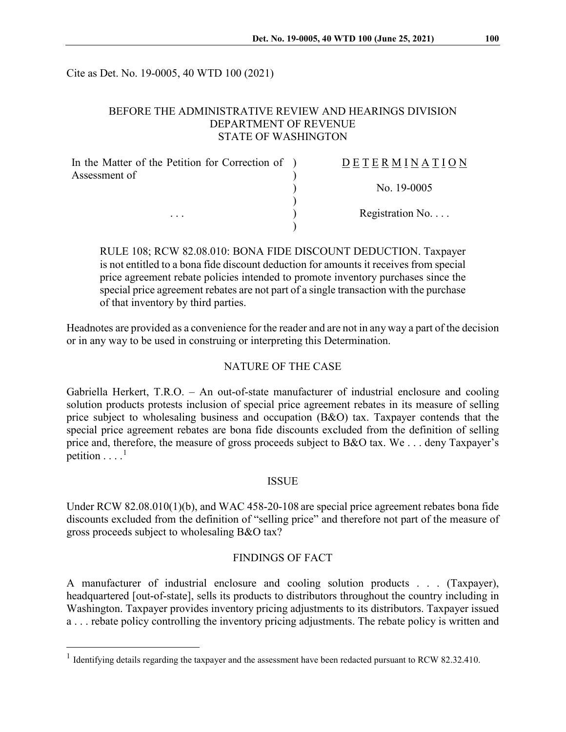Cite as Det. No. 19-0005, 40 WTD 100 (2021)

## BEFORE THE ADMINISTRATIVE REVIEW AND HEARINGS DIVISION DEPARTMENT OF REVENUE STATE OF WASHINGTON

| In the Matter of the Petition for Correction of ) | DETERMINATION   |
|---------------------------------------------------|-----------------|
| Assessment of                                     |                 |
|                                                   | No. 19-0005     |
| $\cdots$                                          | Registration No |
|                                                   |                 |

RULE 108; RCW 82.08.010: BONA FIDE DISCOUNT DEDUCTION. Taxpayer is not entitled to a bona fide discount deduction for amounts it receives from special price agreement rebate policies intended to promote inventory purchases since the special price agreement rebates are not part of a single transaction with the purchase of that inventory by third parties.

Headnotes are provided as a convenience for the reader and are not in any way a part of the decision or in any way to be used in construing or interpreting this Determination.

#### NATURE OF THE CASE

Gabriella Herkert, T.R.O. – An out-of-state manufacturer of industrial enclosure and cooling solution products protests inclusion of special price agreement rebates in its measure of selling price subject to wholesaling business and occupation (B&O) tax. Taxpayer contends that the special price agreement rebates are bona fide discounts excluded from the definition of selling price and, therefore, the measure of gross proceeds subject to B&O tax. We . . . deny Taxpayer's petition  $\dots$ <sup>[1](#page-0-0)</sup>

#### **ISSUE**

Under RCW 82.08.010(1)(b), and WAC 458-20-108 are special price agreement rebates bona fide discounts excluded from the definition of "selling price" and therefore not part of the measure of gross proceeds subject to wholesaling B&O tax?

## FINDINGS OF FACT

A manufacturer of industrial enclosure and cooling solution products . . . (Taxpayer), headquartered [out-of-state], sells its products to distributors throughout the country including in Washington. Taxpayer provides inventory pricing adjustments to its distributors. Taxpayer issued a . . . rebate policy controlling the inventory pricing adjustments. The rebate policy is written and

<span id="page-0-0"></span><sup>&</sup>lt;sup>1</sup> Identifying details regarding the taxpayer and the assessment have been redacted pursuant to RCW 82.32.410.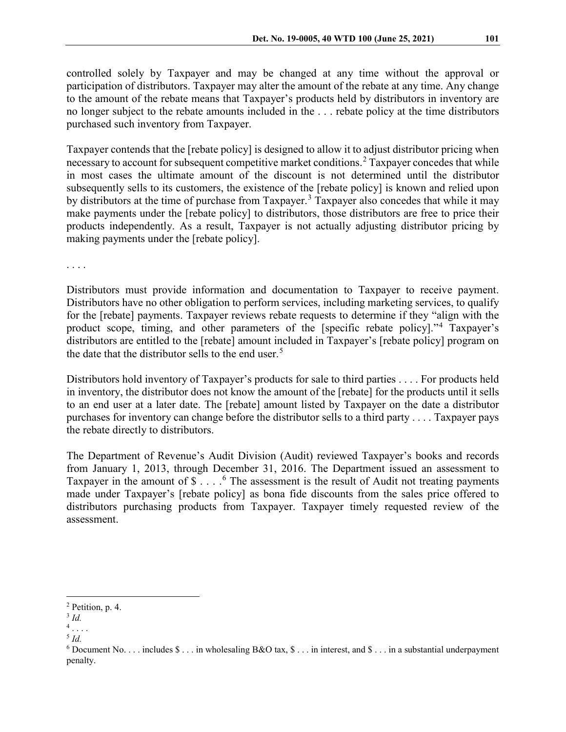controlled solely by Taxpayer and may be changed at any time without the approval or participation of distributors. Taxpayer may alter the amount of the rebate at any time. Any change to the amount of the rebate means that Taxpayer's products held by distributors in inventory are no longer subject to the rebate amounts included in the . . . rebate policy at the time distributors purchased such inventory from Taxpayer.

Taxpayer contends that the [rebate policy] is designed to allow it to adjust distributor pricing when necessary to account for subsequent competitive market conditions.<sup>[2](#page-1-0)</sup> Taxpayer concedes that while in most cases the ultimate amount of the discount is not determined until the distributor subsequently sells to its customers, the existence of the [rebate policy] is known and relied upon by distributors at the time of purchase from Taxpayer.<sup>[3](#page-1-1)</sup> Taxpayer also concedes that while it may make payments under the [rebate policy] to distributors, those distributors are free to price their products independently. As a result, Taxpayer is not actually adjusting distributor pricing by making payments under the [rebate policy].

. . . .

Distributors must provide information and documentation to Taxpayer to receive payment. Distributors have no other obligation to perform services, including marketing services, to qualify for the [rebate] payments. Taxpayer reviews rebate requests to determine if they "align with the product scope, timing, and other parameters of the [specific rebate policy]."[4](#page-1-2) Taxpayer's distributors are entitled to the [rebate] amount included in Taxpayer's [rebate policy] program on the date that the distributor sells to the end user.<sup>[5](#page-1-3)</sup>

Distributors hold inventory of Taxpayer's products for sale to third parties . . . . For products held in inventory, the distributor does not know the amount of the [rebate] for the products until it sells to an end user at a later date. The [rebate] amount listed by Taxpayer on the date a distributor purchases for inventory can change before the distributor sells to a third party . . . . Taxpayer pays the rebate directly to distributors.

The Department of Revenue's Audit Division (Audit) reviewed Taxpayer's books and records from January 1, 2013, through December 31, 2016. The Department issued an assessment to Taxpayer in the amount of  $\$\ldots$  <sup>[6](#page-1-4)</sup> The assessment is the result of Audit not treating payments made under Taxpayer's [rebate policy] as bona fide discounts from the sales price offered to distributors purchasing products from Taxpayer. Taxpayer timely requested review of the assessment.

<span id="page-1-0"></span> <sup>2</sup> Petition, p. 4.

<sup>3</sup> *Id.*

<span id="page-1-2"></span><span id="page-1-1"></span> $<sup>4</sup>$ ...</sup>

<span id="page-1-3"></span><sup>5</sup> *Id.*

<span id="page-1-4"></span> $6$  Document No. . . . includes  $\$\dots$  in wholesaling B&O tax,  $\$\dots$  in interest, and  $\$\dots$  in a substantial underpayment penalty.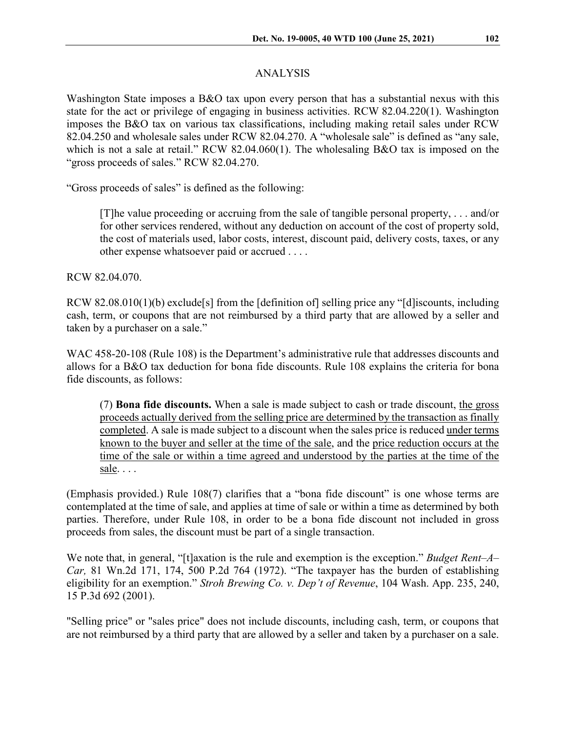Washington State imposes a B&O tax upon every person that has a substantial nexus with this state for the act or privilege of engaging in business activities. RCW 82.04.220(1). Washington imposes the B&O tax on various tax classifications, including making retail sales under RCW 82.04.250 and wholesale sales under RCW 82.04.270. A "wholesale sale" is defined as "any sale, which is not a sale at retail." RCW 82.04.060(1). The wholesaling B&O tax is imposed on the "gross proceeds of sales." RCW 82.04.270.

"Gross proceeds of sales" is defined as the following:

[T]he value proceeding or accruing from the sale of tangible personal property, . . . and/or for other services rendered, without any deduction on account of the cost of property sold, the cost of materials used, labor costs, interest, discount paid, delivery costs, taxes, or any other expense whatsoever paid or accrued . . . .

RCW 82.04.070.

RCW 82.08.010(1)(b) exclude [s] from the [definition of] selling price any "[d] iscounts, including cash, term, or coupons that are not reimbursed by a third party that are allowed by a seller and taken by a purchaser on a sale."

WAC 458-20-108 (Rule 108) is the Department's administrative rule that addresses discounts and allows for a B&O tax deduction for bona fide discounts. Rule 108 explains the criteria for bona fide discounts, as follows:

(7) **Bona fide discounts.** When a sale is made subject to cash or trade discount, the gross proceeds actually derived from the selling price are determined by the transaction as finally completed. A sale is made subject to a discount when the sales price is reduced under terms known to the buyer and seller at the time of the sale, and the price reduction occurs at the time of the sale or within a time agreed and understood by the parties at the time of the sale. . . .

(Emphasis provided.) Rule 108(7) clarifies that a "bona fide discount" is one whose terms are contemplated at the time of sale, and applies at time of sale or within a time as determined by both parties. Therefore, under Rule 108, in order to be a bona fide discount not included in gross proceeds from sales, the discount must be part of a single transaction.

We note that, in general, "[t]axation is the rule and exemption is the exception." *[Budget Rent–A–](https://1.next.westlaw.com/Link/Document/FullText?findType=Y&serNum=1972125431&pubNum=661&originatingDoc=I8c3102ebf53e11d98ac8f235252e36df&refType=RP&originationContext=document&transitionType=DocumentItem&contextData=(sc.Search)) Car,* [81 Wn.2d 171, 174, 500 P.2d 764 \(1972\).](https://1.next.westlaw.com/Link/Document/FullText?findType=Y&serNum=1972125431&pubNum=661&originatingDoc=I8c3102ebf53e11d98ac8f235252e36df&refType=RP&originationContext=document&transitionType=DocumentItem&contextData=(sc.Search)) "The taxpayer has the burden of establishing eligibility for an exemption." *Stroh Brewing Co. v. Dep't of Revenue*, 104 Wash. App. 235, 240, 15 P.3d 692 (2001).

"Selling price" or "sales price" does not include discounts, including cash, term, or coupons that are not reimbursed by a third party that are allowed by a seller and taken by a purchaser on a sale.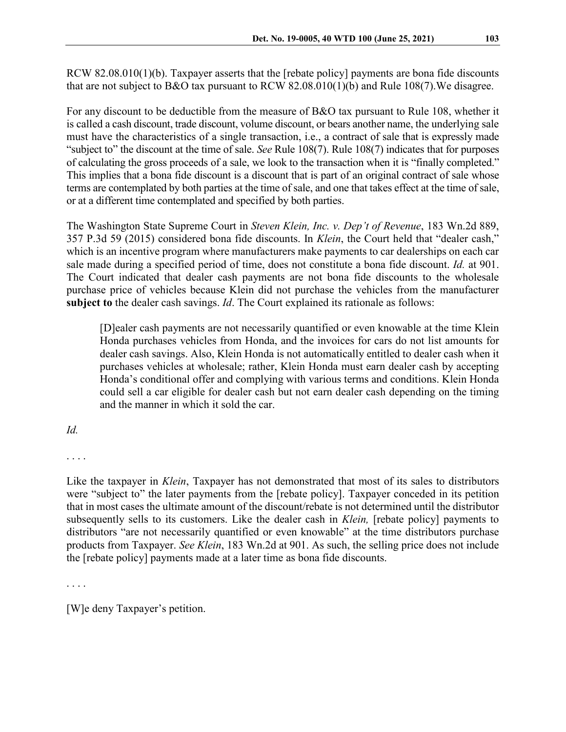RCW 82.08.010(1)(b). Taxpayer asserts that the [rebate policy] payments are bona fide discounts that are not subject to B&O tax pursuant to RCW 82.08.010(1)(b) and Rule 108(7).We disagree.

For any discount to be deductible from the measure of B&O tax pursuant to Rule 108, whether it is called a cash discount, trade discount, volume discount, or bears another name, the underlying sale must have the characteristics of a single transaction, i.e., a contract of sale that is expressly made "subject to" the discount at the time of sale. *See* Rule 108(7). Rule 108(7) indicates that for purposes of calculating the gross proceeds of a sale, we look to the transaction when it is "finally completed." This implies that a bona fide discount is a discount that is part of an original contract of sale whose terms are contemplated by both parties at the time of sale, and one that takes effect at the time of sale, or at a different time contemplated and specified by both parties.

The Washington State Supreme Court in *Steven Klein, Inc. v. Dep't of Revenue*, 183 Wn.2d 889, 357 P.3d 59 (2015) considered bona fide discounts. In *Klein*, the Court held that "dealer cash," which is an incentive program where manufacturers make payments to car dealerships on each car sale made during a specified period of time, does not constitute a bona fide discount. *Id.* at 901. The Court indicated that dealer cash payments are not bona fide discounts to the wholesale purchase price of vehicles because Klein did not purchase the vehicles from the manufacturer **subject to** the dealer cash savings. *Id*. The Court explained its rationale as follows:

[D]ealer cash payments are not necessarily quantified or even knowable at the time Klein Honda purchases vehicles from Honda, and the invoices for cars do not list amounts for dealer cash savings. Also, Klein Honda is not automatically entitled to dealer cash when it purchases vehicles at wholesale; rather, Klein Honda must earn dealer cash by accepting Honda's conditional offer and complying with various terms and conditions. Klein Honda could sell a car eligible for dealer cash but not earn dealer cash depending on the timing and the manner in which it sold the car.

## *Id.*

. . . .

Like the taxpayer in *Klein*, Taxpayer has not demonstrated that most of its sales to distributors were "subject to" the later payments from the [rebate policy]. Taxpayer conceded in its petition that in most cases the ultimate amount of the discount/rebate is not determined until the distributor subsequently sells to its customers. Like the dealer cash in *Klein,* [rebate policy] payments to distributors "are not necessarily quantified or even knowable" at the time distributors purchase products from Taxpayer. *See Klein*, 183 Wn.2d at 901. As such, the selling price does not include the [rebate policy] payments made at a later time as bona fide discounts.

. . . .

[W]e deny Taxpayer's petition.